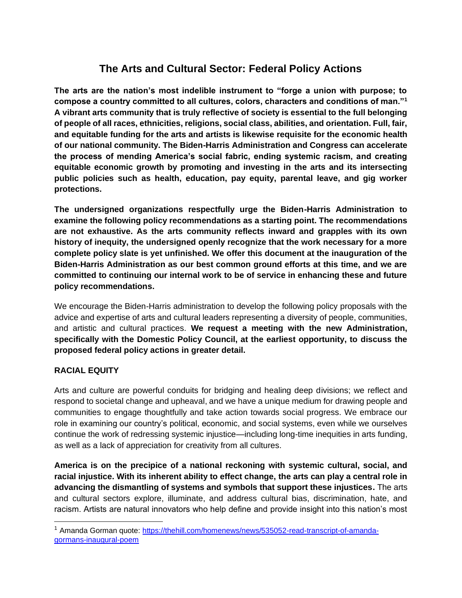# **The Arts and Cultural Sector: Federal Policy Actions**

**The arts are the nation's most indelible instrument to "forge a union with purpose; to compose a country committed to all cultures, colors, characters and conditions of man."<sup>1</sup> A vibrant arts community that is truly reflective of society is essential to the full belonging of people of all races, ethnicities, religions, social class, abilities, and orientation. Full, fair, and equitable funding for the arts and artists is likewise requisite for the economic health of our national community. The Biden-Harris Administration and Congress can accelerate the process of mending America's social fabric, ending systemic racism, and creating equitable economic growth by promoting and investing in the arts and its intersecting public policies such as health, education, pay equity, parental leave, and gig worker protections.** 

**The undersigned organizations respectfully urge the Biden-Harris Administration to examine the following policy recommendations as a starting point. The recommendations are not exhaustive. As the arts community reflects inward and grapples with its own history of inequity, the undersigned openly recognize that the work necessary for a more complete policy slate is yet unfinished. We offer this document at the inauguration of the Biden-Harris Administration as our best common ground efforts at this time, and we are committed to continuing our internal work to be of service in enhancing these and future policy recommendations.** 

We encourage the Biden-Harris administration to develop the following policy proposals with the advice and expertise of arts and cultural leaders representing a diversity of people, communities, and artistic and cultural practices. **We request a meeting with the new Administration, specifically with the Domestic Policy Council, at the earliest opportunity, to discuss the proposed federal policy actions in greater detail.**

### **RACIAL EQUITY**

Arts and culture are powerful conduits for bridging and healing deep divisions; we reflect and respond to societal change and upheaval, and we have a unique medium for drawing people and communities to engage thoughtfully and take action towards social progress. We embrace our role in examining our country's political, economic, and social systems, even while we ourselves continue the work of redressing systemic injustice—including long-time inequities in arts funding, as well as a lack of appreciation for creativity from all cultures.

**America is on the precipice of a national reckoning with systemic cultural, social, and racial injustice. With its inherent ability to effect change, the arts can play a central role in advancing the dismantling of systems and symbols that support these injustices.** The arts and cultural sectors explore, illuminate, and address cultural bias, discrimination, hate, and racism. Artists are natural innovators who help define and provide insight into this nation's most

<sup>&</sup>lt;sup>1</sup> Amanda Gorman quote: [https://thehill.com/homenews/news/535052-read-transcript-of-amanda](https://thehill.com/homenews/news/535052-read-transcript-of-amanda-gormans-inaugural-poem)[gormans-inaugural-poem](https://thehill.com/homenews/news/535052-read-transcript-of-amanda-gormans-inaugural-poem)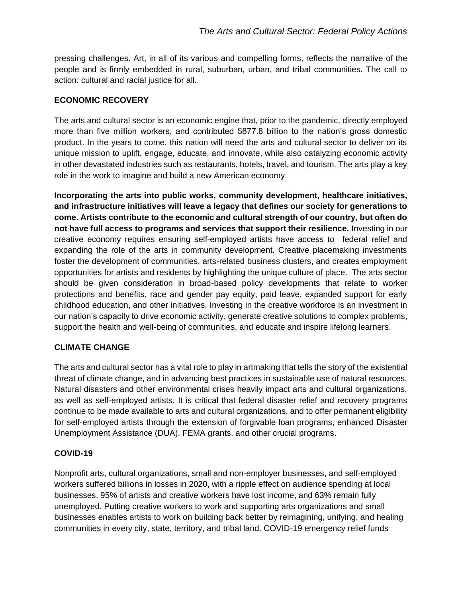pressing challenges. Art, in all of its various and compelling forms, reflects the narrative of the people and is firmly embedded in rural, suburban, urban, and tribal communities. The call to action: cultural and racial justice for all.

## **ECONOMIC RECOVERY**

The arts and cultural sector is an economic engine that, prior to the pandemic, directly employed more than five million workers, and contributed \$877.8 billion to the nation's gross domestic product. In the years to come, this nation will need the arts and cultural sector to deliver on its unique mission to uplift, engage, educate, and innovate, while also catalyzing economic activity in other devastated industries such as restaurants, hotels, travel, and tourism. The arts play a key role in the work to imagine and build a new American economy.

**Incorporating the arts into public works, community development, healthcare initiatives, and infrastructure initiatives will leave a legacy that defines our society for generations to come. Artists contribute to the economic and cultural strength of our country, but often do not have full access to programs and services that support their resilience.** Investing in our creative economy requires ensuring self-employed artists have access to federal relief and expanding the role of the arts in community development. Creative placemaking investments foster the development of communities, arts-related business clusters, and creates employment opportunities for artists and residents by highlighting the unique culture of place. The arts sector should be given consideration in broad-based policy developments that relate to worker protections and benefits, race and gender pay equity, paid leave, expanded support for early childhood education, and other initiatives. Investing in the creative workforce is an investment in our nation's capacity to drive economic activity, generate creative solutions to complex problems, support the health and well-being of communities, and educate and inspire lifelong learners.

# **CLIMATE CHANGE**

The arts and cultural sector has a vital role to play in artmaking that tells the story of the existential threat of climate change, and in advancing best practices in sustainable use of natural resources. Natural disasters and other environmental crises heavily impact arts and cultural organizations, as well as self-employed artists. It is critical that federal disaster relief and recovery programs continue to be made available to arts and cultural organizations, and to offer permanent eligibility for self-employed artists through the extension of forgivable loan programs, enhanced Disaster Unemployment Assistance (DUA), FEMA grants, and other crucial programs.

# **COVID-19**

Nonprofit arts, cultural organizations, small and non-employer businesses, and self-employed workers suffered billions in losses in 2020, with a ripple effect on audience spending at local businesses. 95% of artists and creative workers have lost income, and 63% remain fully unemployed. Putting creative workers to work and supporting arts organizations and small businesses enables artists to work on building back better by reimagining, unifying, and healing communities in every city, state, territory, and tribal land. COVID-19 emergency relief funds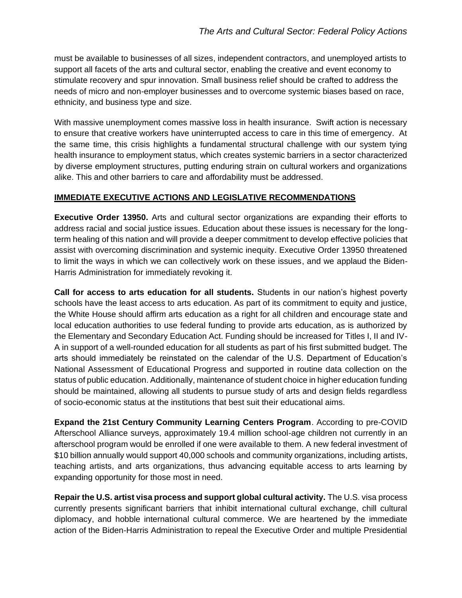must be available to businesses of all sizes, independent contractors, and unemployed artists to support all facets of the arts and cultural sector, enabling the creative and event economy to stimulate recovery and spur innovation. Small business relief should be crafted to address the needs of micro and non-employer businesses and to overcome systemic biases based on race, ethnicity, and business type and size.

With massive unemployment comes massive loss in health insurance. Swift action is necessary to ensure that creative workers have uninterrupted access to care in this time of emergency. At the same time, this crisis highlights a fundamental structural challenge with our system tying health insurance to employment status, which creates systemic barriers in a sector characterized by diverse employment structures, putting enduring strain on cultural workers and organizations alike. This and other barriers to care and affordability must be addressed.

#### **IMMEDIATE EXECUTIVE ACTIONS AND LEGISLATIVE RECOMMENDATIONS**

**Executive Order 13950.** Arts and cultural sector organizations are expanding their efforts to address racial and social justice issues. Education about these issues is necessary for the longterm healing of this nation and will provide a deeper commitment to develop effective policies that assist with overcoming discrimination and systemic inequity. Executive Order 13950 threatened to limit the ways in which we can collectively work on these issues, and we applaud the Biden-Harris Administration for immediately revoking it.

**Call for access to arts education for all students.** Students in our nation's highest poverty schools have the least access to arts education. As part of its commitment to equity and justice, the White House should affirm arts education as a right for all children and encourage state and local education authorities to use federal funding to provide arts education, as is authorized by the Elementary and Secondary Education Act. Funding should be increased for Titles I, II and IV-A in support of a well-rounded education for all students as part of his first submitted budget. The arts should immediately be reinstated on the calendar of the U.S. Department of Education's National Assessment of Educational Progress and supported in routine data collection on the status of public education. Additionally, maintenance of student choice in higher education funding should be maintained, allowing all students to pursue study of arts and design fields regardless of socio-economic status at the institutions that best suit their educational aims.

**Expand the 21st Century Community Learning Centers Program**. According to pre-COVID Afterschool Alliance surveys, approximately 19.4 million school-age children not currently in an afterschool program would be enrolled if one were available to them. A new federal investment of \$10 billion annually would support 40,000 schools and community organizations, including artists, teaching artists, and arts organizations, thus advancing equitable access to arts learning by expanding opportunity for those most in need.

**Repair the U.S. artist visa process and support global cultural activity.** The U.S. visa process currently presents significant barriers that inhibit international cultural exchange, chill cultural diplomacy, and hobble international cultural commerce. We are heartened by the immediate action of the Biden-Harris Administration to repeal the Executive Order and multiple Presidential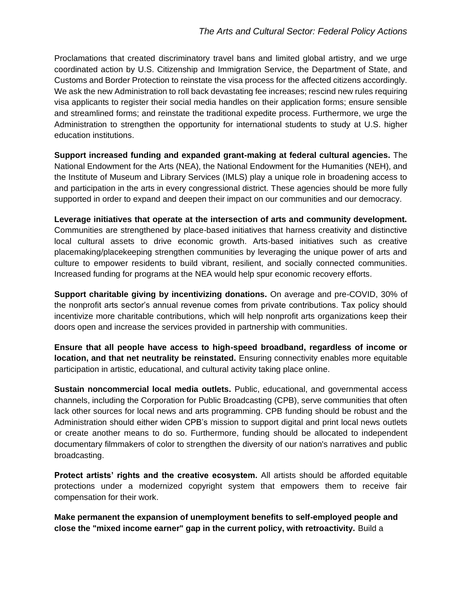Proclamations that created discriminatory travel bans and limited global artistry, and we urge coordinated action by U.S. Citizenship and Immigration Service, the Department of State, and Customs and Border Protection to reinstate the visa process for the affected citizens accordingly. We ask the new Administration to roll back devastating fee increases; rescind new rules requiring visa applicants to register their social media handles on their application forms; ensure sensible and streamlined forms; and reinstate the traditional expedite process. Furthermore, we urge the Administration to strengthen the opportunity for international students to study at U.S. higher education institutions.

**Support increased funding and expanded grant-making at federal cultural agencies.** The National Endowment for the Arts (NEA), the National Endowment for the Humanities (NEH), and the Institute of Museum and Library Services (IMLS) play a unique role in broadening access to and participation in the arts in every congressional district. These agencies should be more fully supported in order to expand and deepen their impact on our communities and our democracy.

**Leverage initiatives that operate at the intersection of arts and community development.** Communities are strengthened by place-based initiatives that harness creativity and distinctive local cultural assets to drive economic growth. Arts-based initiatives such as creative placemaking/placekeeping strengthen communities by leveraging the unique power of arts and culture to empower residents to build vibrant, resilient, and socially connected communities. Increased funding for programs at the NEA would help spur economic recovery efforts.

**Support charitable giving by incentivizing donations.** On average and pre-COVID, 30% of the nonprofit arts sector's annual revenue comes from private contributions. Tax policy should incentivize more charitable contributions, which will help nonprofit arts organizations keep their doors open and increase the services provided in partnership with communities.

**Ensure that all people have access to high-speed broadband, regardless of income or location, and that net neutrality be reinstated.** Ensuring connectivity enables more equitable participation in artistic, educational, and cultural activity taking place online.

**Sustain noncommercial local media outlets.** Public, educational, and governmental access channels, including the Corporation for Public Broadcasting (CPB), serve communities that often lack other sources for local news and arts programming. CPB funding should be robust and the Administration should either widen CPB's mission to support digital and print local news outlets or create another means to do so. Furthermore, funding should be allocated to independent documentary filmmakers of color to strengthen the diversity of our nation's narratives and public broadcasting.

**Protect artists' rights and the creative ecosystem.** All artists should be afforded equitable protections under a modernized copyright system that empowers them to receive fair compensation for their work.

**Make permanent the expansion of unemployment benefits to self-employed people and close the "mixed income earner" gap in the current policy, with retroactivity.** Build a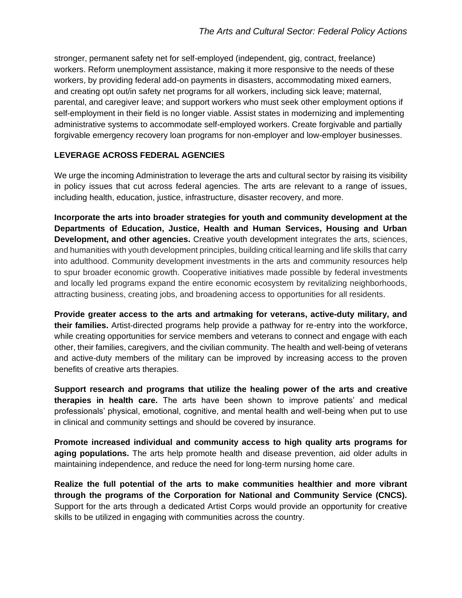stronger, permanent safety net for self-employed (independent, gig, contract, freelance) workers. Reform unemployment assistance, making it more responsive to the needs of these workers, by providing federal add-on payments in disasters, accommodating mixed earners, and creating opt out/in safety net programs for all workers, including sick leave; maternal, parental, and caregiver leave; and support workers who must seek other employment options if self-employment in their field is no longer viable. Assist states in modernizing and implementing administrative systems to accommodate self-employed workers. Create forgivable and partially forgivable emergency recovery loan programs for non-employer and low-employer businesses.

### **LEVERAGE ACROSS FEDERAL AGENCIES**

We urge the incoming Administration to leverage the arts and cultural sector by raising its visibility in policy issues that cut across federal agencies. The arts are relevant to a range of issues, including health, education, justice, infrastructure, disaster recovery, and more.

**Incorporate the arts into broader strategies for youth and community development at the Departments of Education, Justice, Health and Human Services, Housing and Urban Development, and other agencies.** Creative youth development integrates the arts, sciences, and humanities with youth development principles, building critical learning and life skills that carry into adulthood. Community development investments in the arts and community resources help to spur broader economic growth. Cooperative initiatives made possible by federal investments and locally led programs expand the entire economic ecosystem by revitalizing neighborhoods, attracting business, creating jobs, and broadening access to opportunities for all residents.

**Provide greater access to the arts and artmaking for veterans, active-duty military, and their families.** Artist-directed programs help provide a pathway for re-entry into the workforce, while creating opportunities for service members and veterans to connect and engage with each other, their families, caregivers, and the civilian community. The health and well-being of veterans and active-duty members of the military can be improved by increasing access to the proven benefits of creative arts therapies.

**Support research and programs that utilize the healing power of the arts and creative therapies in health care.** The arts have been shown to improve patients' and medical professionals' physical, emotional, cognitive, and mental health and well-being when put to use in clinical and community settings and should be covered by insurance.

**Promote increased individual and community access to high quality arts programs for aging populations.** The arts help promote health and disease prevention, aid older adults in maintaining independence, and reduce the need for long-term nursing home care.

**Realize the full potential of the arts to make communities healthier and more vibrant through the programs of the Corporation for National and Community Service (CNCS).** Support for the arts through a dedicated Artist Corps would provide an opportunity for creative skills to be utilized in engaging with communities across the country.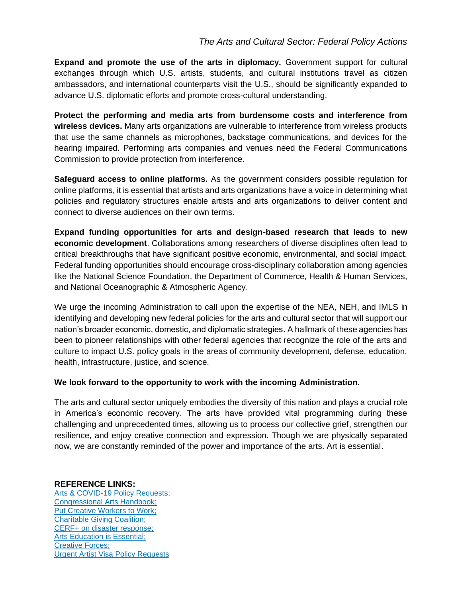# *The Arts and Cultural Sector: Federal Policy Actions*

**Expand and promote the use of the arts in diplomacy.** Government support for cultural exchanges through which U.S. artists, students, and cultural institutions travel as citizen ambassadors, and international counterparts visit the U.S., should be significantly expanded to advance U.S. diplomatic efforts and promote cross-cultural understanding.

**Protect the performing and media arts from burdensome costs and interference from wireless devices.** Many arts organizations are vulnerable to interference from wireless products that use the same channels as microphones, backstage communications, and devices for the hearing impaired. Performing arts companies and venues need the Federal Communications Commission to provide protection from interference.

**Safeguard access to online platforms.** As the government considers possible regulation for online platforms, it is essential that artists and arts organizations have a voice in determining what policies and regulatory structures enable artists and arts organizations to deliver content and connect to diverse audiences on their own terms.

**Expand funding opportunities for arts and design-based research that leads to new economic development**. Collaborations among researchers of diverse disciplines often lead to critical breakthroughs that have significant positive economic, environmental, and social impact. Federal funding opportunities should encourage cross-disciplinary collaboration among agencies like the National Science Foundation, the Department of Commerce, Health & Human Services, and National Oceanographic & Atmospheric Agency.

We urge the incoming Administration to call upon the expertise of the NEA, NEH, and IMLS in identifying and developing new federal policies for the arts and cultural sector that will support our nation's broader economic, domestic, and diplomatic strategies**.** A hallmark of these agencies has been to pioneer relationships with other federal agencies that recognize the role of the arts and culture to impact U.S. policy goals in the areas of community development, defense, education, health, infrastructure, justice, and science.

#### **We look forward to the opportunity to work with the incoming Administration.**

The arts and cultural sector uniquely embodies the diversity of this nation and plays a crucial role in America's economic recovery. The arts have provided vital programming during these challenging and unprecedented times, allowing us to process our collective grief, strengthen our resilience, and enjoy creative connection and expression. Though we are physically separated now, we are constantly reminded of the power and importance of the arts. Art is essential.

#### **REFERENCE LINKS:**

[Arts & COVID-19 Policy Requests;](https://drive.google.com/file/d/1QshUJK_vt0xfiScVyXTKqsOQbDKOhcg4/view) [Congressional Arts Handbook;](https://www.americansforthearts.org/by-program/reports-and-data/legislation-policy/legislative-issue-center/congressional-arts-handbook) [Put Creative Workers to Work;](https://www.americansforthearts.org/news-room/arts-mobilization-center/creative-workers-to-work) [Charitable Giving Coalition;](http://protectgiving.org/) [CERF+ on disaster response;](https://cerfplus.org/cerf-responds-to-disasters/) [Arts Education is Essential;](https://www.arteducators.org/news/articles/688-arts-education-is-essential-a-unified-statement-from-arts-and-education-organizations) [Creative](https://www.arts.gov/initiatives/creative-forces) Forces; [Urgent Artist Visa Policy Requests](https://www.americanorchestras.org/images/stories/adv_gov_pdf/Artist-Visas-COVID-19.pdf)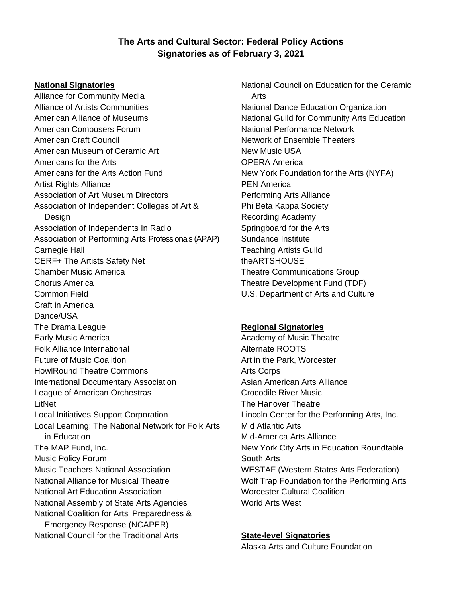# **The Arts and Cultural Sector: Federal Policy Actions Signatories as of February 3, 2021**

#### **National Signatories**

Alliance for Community Media Alliance of Artists Communities American Alliance of Museums American Composers Forum American Craft Council American Museum of Ceramic Art Americans for the Arts Americans for the Arts Action Fund Artist Rights Alliance Association of Art Museum Directors Association of Independent Colleges of Art & **Design** Association of Independents In Radio Association of Performing Arts Professionals (APAP) Carnegie Hall CERF+ The Artists Safety Net Chamber Music America Chorus America Common Field Craft in America Dance/USA The Drama League Early Music America Folk Alliance International Future of Music Coalition HowlRound Theatre Commons International Documentary Association League of American Orchestras LitNet Local Initiatives Support Corporation Local Learning: The National Network for Folk Arts in Education The MAP Fund, Inc. Music Policy Forum Music Teachers National Association National Alliance for Musical Theatre National Art Education Association National Assembly of State Arts Agencies National Coalition for Arts' Preparedness & Emergency Response (NCAPER) National Council for the Traditional Arts

National Council on Education for the Ceramic Arts National Dance Education Organization National Guild for Community Arts Education National Performance Network Network of Ensemble Theaters New Music USA OPERA America New York Foundation for the Arts (NYFA) PEN America Performing Arts Alliance Phi Beta Kappa Society Recording Academy Springboard for the Arts Sundance Institute Teaching Artists Guild theARTSHOUSE Theatre Communications Group Theatre Development Fund (TDF) U.S. Department of Arts and Culture

#### **Regional Signatories**

Academy of Music Theatre Alternate ROOTS Art in the Park, Worcester Arts Corps Asian American Arts Alliance Crocodile River Music The Hanover Theatre Lincoln Center for the Performing Arts, Inc. Mid Atlantic Arts Mid-America Arts Alliance New York City Arts in Education Roundtable South Arts WESTAF (Western States Arts Federation) Wolf Trap Foundation for the Performing Arts Worcester Cultural Coalition World Arts West

#### **State-level Signatories**

Alaska Arts and Culture Foundation